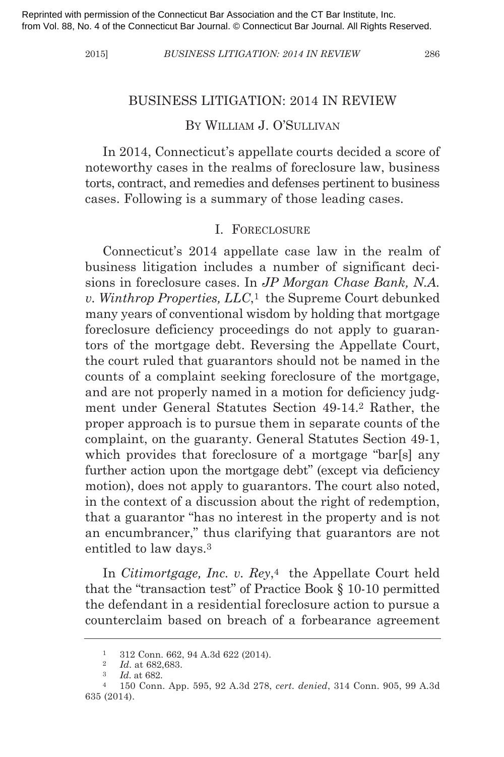2015] *BuSINESS lItIgAtIoN: 2014 IN REvIEW* 286

#### bUSiNeSS liTigATiON: 2014 iN review

# by williAM J. O'SUllivAN

In 2014, Connecticut's appellate courts decided a score of noteworthy cases in the realms of foreclosure law, business torts, contract, and remedies and defenses pertinent to business cases. following is a summary of those leading cases.

#### i. fOreClOSUre

Connecticut's 2014 appellate case law in the realm of business litigation includes a number of significant decisions in foreclosure cases. in *JP morgan Chase Bank, N.A. v. Winthrop Properties, llC*,1 the Supreme Court debunked many years of conventional wisdom by holding that mortgage foreclosure deficiency proceedings do not apply to guarantors of the mortgage debt. Reversing the Appellate Court, the court ruled that guarantors should not be named in the counts of a complaint seeking foreclosure of the mortgage, and are not properly named in a motion for deficiency judgment under General Statutes Section 49-14.<sup>2</sup> Rather, the proper approach is to pursue them in separate counts of the complaint, on the guaranty. General Statutes Section 49-1, which provides that foreclosure of a mortgage "bar[s] any further action upon the mortgage debt" (except via deficiency motion), does not apply to guarantors. The court also noted, in the context of a discussion about the right of redemption, that a guarantor "has no interest in the property and is not an encumbrancer," thus clarifying that guarantors are not entitled to law days.3

in *Citimortgage, Inc. v. Rey*,4 the Appellate Court held that the "transaction test" of Practice book § 10-10 permitted the defendant in a residential foreclosure action to pursue a counterclaim based on breach of a forbearance agreement

<sup>1</sup> 312 Conn. 662, 94 A.3d 622 (2014).

<sup>2</sup> *Id*. at 682,683.

<sup>3</sup> *Id*. at 682.

<sup>4</sup> 150 Conn. App. 595, 92 A.3d 278, *cert. denied*, 314 Conn. 905, 99 A.3d 635 (2014).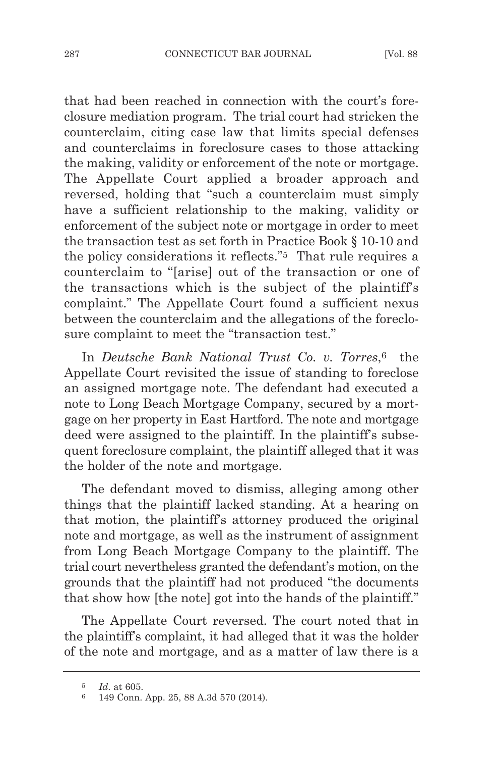that had been reached in connection with the court's foreclosure mediation program. The trial court had stricken the counterclaim, citing case law that limits special defenses and counterclaims in foreclosure cases to those attacking the making, validity or enforcement of the note or mortgage. The Appellate Court applied a broader approach and reversed, holding that "such a counterclaim must simply have a sufficient relationship to the making, validity or enforcement of the subject note or mortgage in order to meet the transaction test as set forth in Practice book § 10-10 and the policy considerations it reflects."5 That rule requires a counterclaim to "[arise] out of the transaction or one of the transactions which is the subject of the plaintiff's complaint." The Appellate Court found a sufficient nexus between the counterclaim and the allegations of the foreclosure complaint to meet the "transaction test."

in *Deutsche Bank National trust Co. v. torres*,6 the Appellate Court revisited the issue of standing to foreclose an assigned mortgage note. The defendant had executed a note to long beach Mortgage Company, secured by a mortgage on her property in East Hartford. The note and mortgage deed were assigned to the plaintiff. In the plaintiff's subsequent foreclosure complaint, the plaintiff alleged that it was the holder of the note and mortgage.

The defendant moved to dismiss, alleging among other things that the plaintiff lacked standing. At a hearing on that motion, the plaintiff's attorney produced the original note and mortgage, as well as the instrument of assignment from long beach Mortgage Company to the plaintiff. The trial court nevertheless granted the defendant's motion, on the grounds that the plaintiff had not produced "the documents that show how [the note] got into the hands of the plaintiff."

The Appellate Court reversed. The court noted that in the plaintiff's complaint, it had alleged that it was the holder of the note and mortgage, and as a matter of law there is a

<sup>5</sup> *Id*. at 605.

<sup>6</sup> 149 Conn. App. 25, 88 A.3d 570 (2014).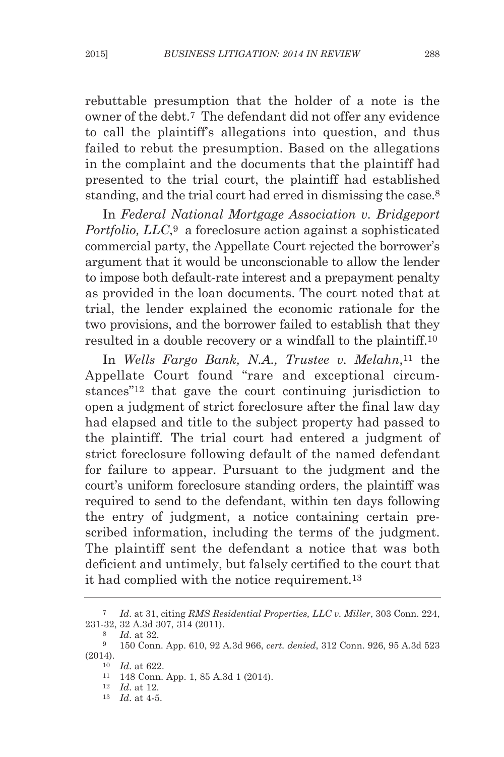rebuttable presumption that the holder of a note is the owner of the debt.7 The defendant did not offer any evidence to call the plaintiff's allegations into question, and thus failed to rebut the presumption. Based on the allegations in the complaint and the documents that the plaintiff had presented to the trial court, the plaintiff had established standing, and the trial court had erred in dismissing the case.8

in *Federal National mortgage Association v. Bridgeport Portfolio, llC*,9 a foreclosure action against a sophisticated commercial party, the Appellate Court rejected the borrower's argument that it would be unconscionable to allow the lender to impose both default-rate interest and a prepayment penalty as provided in the loan documents. The court noted that at trial, the lender explained the economic rationale for the two provisions, and the borrower failed to establish that they resulted in a double recovery or a windfall to the plaintiff.10

in *Wells Fargo Bank, N.A., trustee v. melahn*,11 the Appellate Court found "rare and exceptional circumstances"12 that gave the court continuing jurisdiction to open a judgment of strict foreclosure after the final law day had elapsed and title to the subject property had passed to the plaintiff. The trial court had entered a judgment of strict foreclosure following default of the named defendant for failure to appear. Pursuant to the judgment and the court's uniform foreclosure standing orders, the plaintiff was required to send to the defendant, within ten days following the entry of judgment, a notice containing certain prescribed information, including the terms of the judgment. The plaintiff sent the defendant a notice that was both deficient and untimely, but falsely certified to the court that it had complied with the notice requirement.13

<sup>7</sup> *Id*. at 31, citing *RmS Residential Properties, llC v. miller*, 303 Conn. 224, 231-32, 32 A.3d 307, 314 (2011).

<sup>8</sup> *Id*. at 32.

<sup>9</sup> 150 Conn. App. 610, 92 A.3d 966, *cert. denied*, 312 Conn. 926, 95 A.3d 523 (2014).

<sup>10</sup> *Id*. at 622.

<sup>11</sup> 148 Conn. App. 1, 85 A.3d 1 (2014).

<sup>12</sup> *Id*. at 12.

<sup>13</sup> *Id*. at 4-5.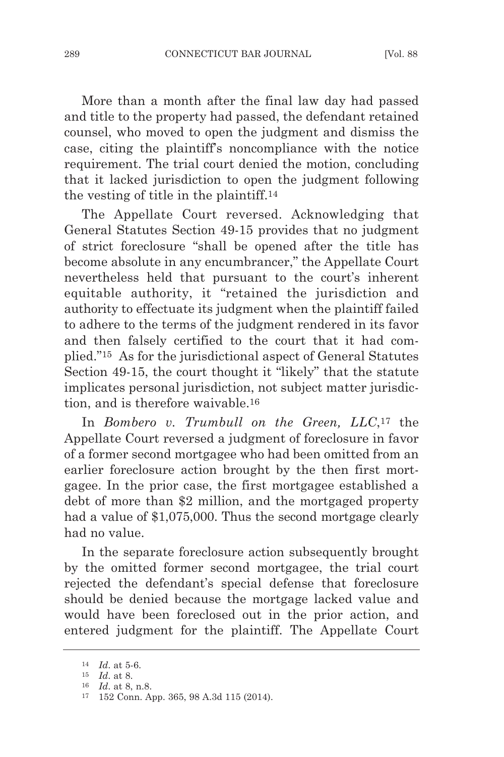More than a month after the final law day had passed and title to the property had passed, the defendant retained counsel, who moved to open the judgment and dismiss the case, citing the plaintiff's noncompliance with the notice requirement. The trial court denied the motion, concluding that it lacked jurisdiction to open the judgment following the vesting of title in the plaintiff.14

The Appellate Court reversed. Acknowledging that General Statutes Section 49-15 provides that no judgment of strict foreclosure "shall be opened after the title has become absolute in any encumbrancer," the Appellate Court nevertheless held that pursuant to the court's inherent equitable authority, it "retained the jurisdiction and authority to effectuate its judgment when the plaintiff failed to adhere to the terms of the judgment rendered in its favor and then falsely certified to the court that it had complied."<sup>15</sup> As for the jurisdictional aspect of General Statutes Section 49-15, the court thought it "likely" that the statute implicates personal jurisdiction, not subject matter jurisdiction, and is therefore waivable.16

in *Bombero v. trumbull on the green, llC*,17 the Appellate Court reversed a judgment of foreclosure in favor of a former second mortgagee who had been omitted from an earlier foreclosure action brought by the then first mortgagee. in the prior case, the first mortgagee established a debt of more than \$2 million, and the mortgaged property had a value of \$1,075,000. Thus the second mortgage clearly had no value.

In the separate foreclosure action subsequently brought by the omitted former second mortgagee, the trial court rejected the defendant's special defense that foreclosure should be denied because the mortgage lacked value and would have been foreclosed out in the prior action, and entered judgment for the plaintiff. The Appellate Court

<sup>14</sup> *Id*. at 5-6.

<sup>15</sup> *Id*. at 8.

<sup>16</sup> *Id*. at 8, n.8.

<sup>17</sup> 152 Conn. App. 365, 98 A.3d 115 (2014).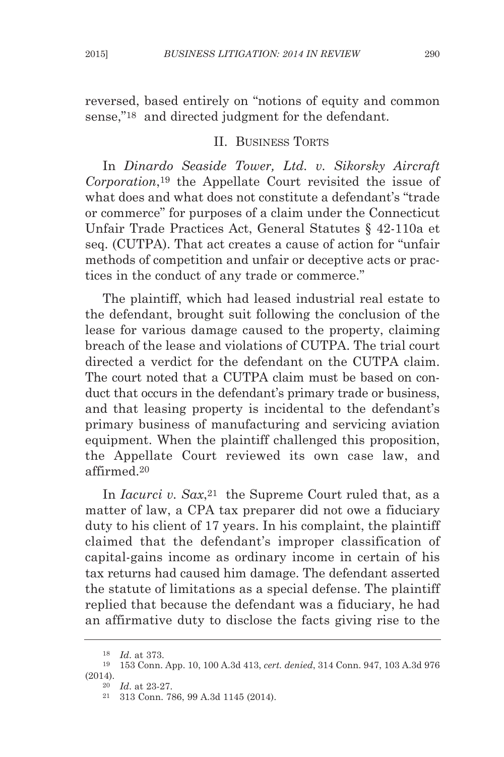reversed, based entirely on "notions of equity and common sense,"<sup>18</sup> and directed judgment for the defendant.

## II. BUSINESS TORTS

in *Dinardo Seaside tower, ltd. v. Sikorsky Aircraft Corporation*,19 the Appellate Court revisited the issue of what does and what does not constitute a defendant's "trade or commerce" for purposes of a claim under the Connecticut Unfair Trade Practices Act, General Statutes § 42-110a et seq. (CUTPA). That act creates a cause of action for "unfair methods of competition and unfair or deceptive acts or practices in the conduct of any trade or commerce."

The plaintiff, which had leased industrial real estate to the defendant, brought suit following the conclusion of the lease for various damage caused to the property, claiming breach of the lease and violations of CUTPA. The trial court directed a verdict for the defendant on the CUTPA claim. The court noted that a CUTPA claim must be based on conduct that occurs in the defendant's primary trade or business, and that leasing property is incidental to the defendant's primary business of manufacturing and servicing aviation equipment. when the plaintiff challenged this proposition, the Appellate Court reviewed its own case law, and affirmed.20

In *Iacurci v. Sax*,<sup>21</sup> the Supreme Court ruled that, as a matter of law, a CPA tax preparer did not owe a fiduciary duty to his client of 17 years. in his complaint, the plaintiff claimed that the defendant's improper classification of capital-gains income as ordinary income in certain of his tax returns had caused him damage. The defendant asserted the statute of limitations as a special defense. The plaintiff replied that because the defendant was a fiduciary, he had an affirmative duty to disclose the facts giving rise to the

<sup>20</sup> *Id*. at 23-27.

<sup>18</sup> *Id*. at 373.

<sup>19</sup> 153 Conn. App. 10, 100 A.3d 413, *cert. denied*, 314 Conn. 947, 103 A.3d 976 (2014).

<sup>21</sup> 313 Conn. 786, 99 A.3d 1145 (2014).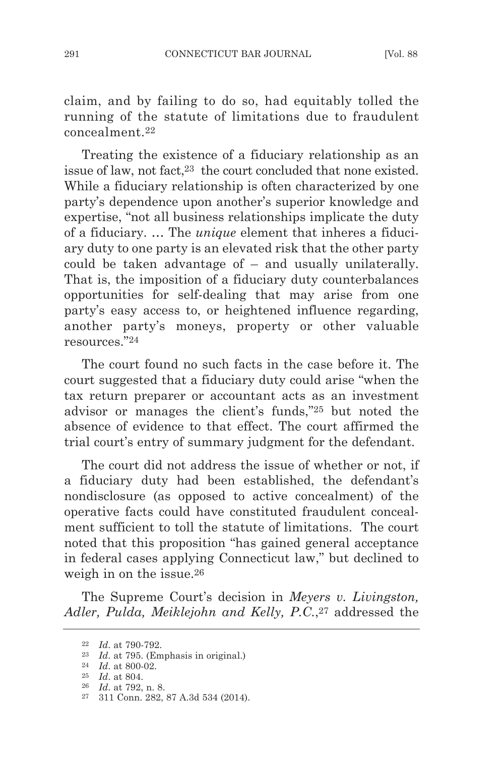claim, and by failing to do so, had equitably tolled the running of the statute of limitations due to fraudulent concealment.22

Treating the existence of a fiduciary relationship as an issue of law, not fact,23 the court concluded that none existed. while a fiduciary relationship is often characterized by one party's dependence upon another's superior knowledge and expertise, "not all business relationships implicate the duty of a fiduciary. … The *unique* element that inheres a fiduciary duty to one party is an elevated risk that the other party could be taken advantage of – and usually unilaterally. That is, the imposition of a fiduciary duty counterbalances opportunities for self-dealing that may arise from one party's easy access to, or heightened influence regarding, another party's moneys, property or other valuable resources."24

The court found no such facts in the case before it. The court suggested that a fiduciary duty could arise "when the tax return preparer or accountant acts as an investment advisor or manages the client's funds,"25 but noted the absence of evidence to that effect. The court affirmed the trial court's entry of summary judgment for the defendant.

The court did not address the issue of whether or not, if a fiduciary duty had been established, the defendant's nondisclosure (as opposed to active concealment) of the operative facts could have constituted fraudulent concealment sufficient to toll the statute of limitations. The court noted that this proposition "has gained general acceptance in federal cases applying Connecticut law," but declined to weigh in on the issue.26

The Supreme Court's decision in *meyers v. livingston, Adler, Pulda, meiklejohn and Kelly, P.C.*,27 addressed the

<sup>22</sup> *Id*. at 790-792.

<sup>&</sup>lt;sup>23</sup> *Id.* at 795. (Emphasis in original.)

<sup>24</sup> *Id*. at 800-02.

<sup>25</sup> *Id*. at 804.

<sup>26</sup> *Id*. at 792, n. 8.

<sup>27</sup> 311 Conn. 282, 87 A.3d 534 (2014).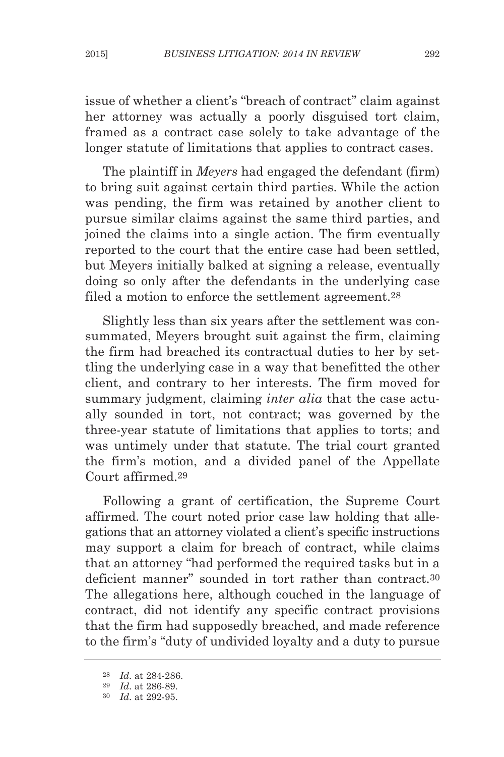issue of whether a client's "breach of contract" claim against her attorney was actually a poorly disguised tort claim, framed as a contract case solely to take advantage of the longer statute of limitations that applies to contract cases.

The plaintiff in *meyers* had engaged the defendant (firm) to bring suit against certain third parties. while the action was pending, the firm was retained by another client to pursue similar claims against the same third parties, and joined the claims into a single action. The firm eventually reported to the court that the entire case had been settled, but Meyers initially balked at signing a release, eventually doing so only after the defendants in the underlying case filed a motion to enforce the settlement agreement.28

Slightly less than six years after the settlement was consummated, Meyers brought suit against the firm, claiming the firm had breached its contractual duties to her by settling the underlying case in a way that benefitted the other client, and contrary to her interests. The firm moved for summary judgment, claiming *inter alia* that the case actually sounded in tort, not contract; was governed by the three-year statute of limitations that applies to torts; and was untimely under that statute. The trial court granted the firm's motion, and a divided panel of the Appellate Court affirmed.29

following a grant of certification, the Supreme Court affirmed. The court noted prior case law holding that allegations that an attorney violated a client's specific instructions may support a claim for breach of contract, while claims that an attorney "had performed the required tasks but in a deficient manner" sounded in tort rather than contract.30 The allegations here, although couched in the language of contract, did not identify any specific contract provisions that the firm had supposedly breached, and made reference to the firm's "duty of undivided loyalty and a duty to pursue

<sup>28</sup> *Id*. at 284-286.

<sup>29</sup> *Id*. at 286-89.

<sup>30</sup> *Id*. at 292-95.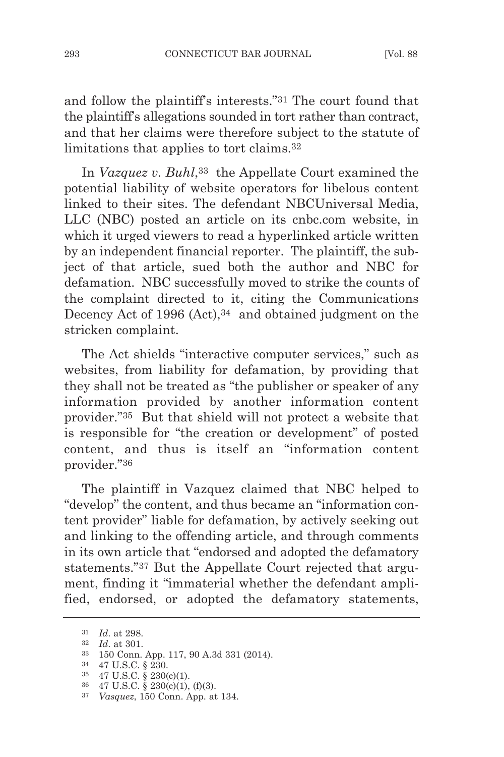and follow the plaintiff's interests."31 The court found that the plaintiff's allegations sounded in tort rather than contract, and that her claims were therefore subject to the statute of limitations that applies to tort claims.32

In *Vazquez v. Buhl*,<sup>33</sup> the Appellate Court examined the potential liability of website operators for libelous content linked to their sites. The defendant NBCUniversal Media, llC (NbC) posted an article on its cnbc.com website, in which it urged viewers to read a hyperlinked article written by an independent financial reporter. The plaintiff, the subject of that article, sued both the author and NbC for defamation. NBC successfully moved to strike the counts of the complaint directed to it, citing the Communications Decency Act of 1996 (Act), 34 and obtained judgment on the stricken complaint.

The Act shields "interactive computer services," such as websites, from liability for defamation, by providing that they shall not be treated as "the publisher or speaker of any information provided by another information content provider."35 but that shield will not protect a website that is responsible for "the creation or development" of posted content, and thus is itself an "information content provider."36

The plaintiff in Vazquez claimed that NBC helped to "develop" the content, and thus became an "information content provider" liable for defamation, by actively seeking out and linking to the offending article, and through comments in its own article that "endorsed and adopted the defamatory statements."37 but the Appellate Court rejected that argument, finding it "immaterial whether the defendant amplified, endorsed, or adopted the defamatory statements,

34 47 U.S.C. § 230.

<sup>31</sup> *Id*. at 298.

<sup>32</sup> *Id*. at 301.

<sup>33</sup> 150 Conn. App. 117, 90 A.3d 331 (2014).

<sup>35</sup> 47 U.S.C. § 230(c)(1).

<sup>36</sup> 47 U.S.C. § 230(c)(1), (f)(3).

<sup>37</sup> *vasquez*, 150 Conn. App. at 134.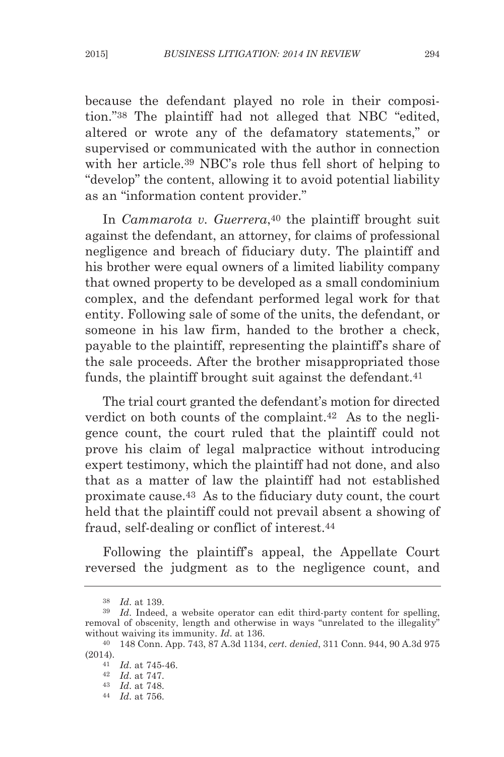because the defendant played no role in their composition."38 The plaintiff had not alleged that NBC "edited, altered or wrote any of the defamatory statements," or supervised or communicated with the author in connection with her article.<sup>39</sup> NBC's role thus fell short of helping to "develop" the content, allowing it to avoid potential liability as an "information content provider."

In *Cammarota v. Guerrera*,<sup>40</sup> the plaintiff brought suit against the defendant, an attorney, for claims of professional negligence and breach of fiduciary duty. The plaintiff and his brother were equal owners of a limited liability company that owned property to be developed as a small condominium complex, and the defendant performed legal work for that entity. following sale of some of the units, the defendant, or someone in his law firm, handed to the brother a check, payable to the plaintiff, representing the plaintiff's share of the sale proceeds. After the brother misappropriated those funds, the plaintiff brought suit against the defendant.<sup>41</sup>

The trial court granted the defendant's motion for directed verdict on both counts of the complaint.42 As to the negligence count, the court ruled that the plaintiff could not prove his claim of legal malpractice without introducing expert testimony, which the plaintiff had not done, and also that as a matter of law the plaintiff had not established proximate cause.43 As to the fiduciary duty count, the court held that the plaintiff could not prevail absent a showing of fraud, self-dealing or conflict of interest.44

following the plaintiff's appeal, the Appellate Court reversed the judgment as to the negligence count, and

<sup>38</sup> *Id*. at 139.

<sup>&</sup>lt;sup>39</sup> *Id.* Indeed, a website operator can edit third-party content for spelling, removal of obscenity, length and otherwise in ways "unrelated to the illegality" without waiving its immunity. *Id*. at 136.

<sup>40</sup> 148 Conn. App. 743, 87 A.3d 1134, *cert. denied*, 311 Conn. 944, 90 A.3d 975 (2014).

<sup>41</sup> *Id*. at 745-46.

<sup>42</sup> *Id*. at 747.

<sup>43</sup> *Id*. at 748.

<sup>44</sup> *Id*. at 756.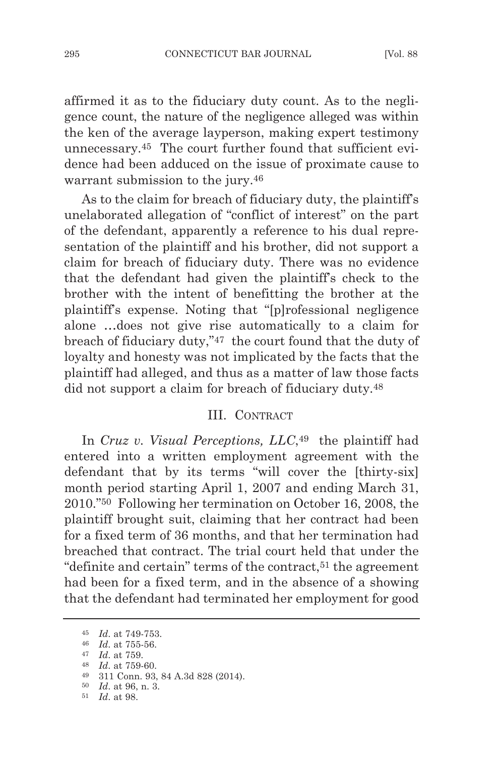affirmed it as to the fiduciary duty count. As to the negligence count, the nature of the negligence alleged was within the ken of the average layperson, making expert testimony unnecessary.45 The court further found that sufficient evidence had been adduced on the issue of proximate cause to warrant submission to the jury.46

As to the claim for breach of fiduciary duty, the plaintiff's unelaborated allegation of "conflict of interest" on the part of the defendant, apparently a reference to his dual representation of the plaintiff and his brother, did not support a claim for breach of fiduciary duty. There was no evidence that the defendant had given the plaintiff's check to the brother with the intent of benefitting the brother at the plaintiff's expense. Noting that "[p]rofessional negligence alone …does not give rise automatically to a claim for breach of fiduciary duty,"47 the court found that the duty of loyalty and honesty was not implicated by the facts that the plaintiff had alleged, and thus as a matter of law those facts did not support a claim for breach of fiduciary duty.48

#### III. CONTRACT

in *Cruz v. visual Perceptions, llC*,49 the plaintiff had entered into a written employment agreement with the defendant that by its terms "will cover the [thirty-six] month period starting April 1, 2007 and ending March 31, 2010."50 following her termination on October 16, 2008, the plaintiff brought suit, claiming that her contract had been for a fixed term of 36 months, and that her termination had breached that contract. The trial court held that under the "definite and certain" terms of the contract,<sup>51</sup> the agreement had been for a fixed term, and in the absence of a showing that the defendant had terminated her employment for good

<sup>45</sup> *Id*. at 749-753.

<sup>46</sup> *Id*. at 755-56.

<sup>47</sup> *Id*. at 759.

<sup>48</sup> *Id*. at 759-60.

<sup>49</sup> 311 Conn. 93, 84 A.3d 828 (2014).

<sup>50</sup> *Id*. at 96, n. 3.

<sup>51</sup> *Id*. at 98.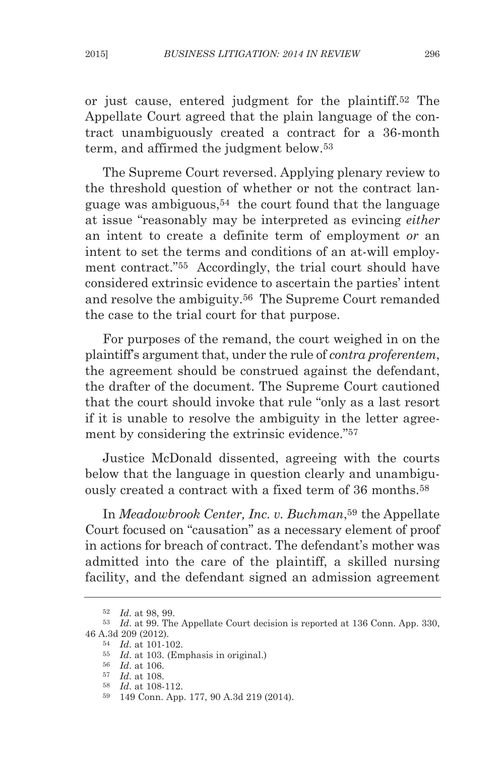or just cause, entered judgment for the plaintiff.52 The Appellate Court agreed that the plain language of the contract unambiguously created a contract for a 36-month term, and affirmed the judgment below.53

The Supreme Court reversed. Applying plenary review to the threshold question of whether or not the contract language was ambiguous,54 the court found that the language at issue "reasonably may be interpreted as evincing *either* an intent to create a definite term of employment *or* an intent to set the terms and conditions of an at-will employment contract."55 Accordingly, the trial court should have considered extrinsic evidence to ascertain the parties' intent and resolve the ambiguity.56 The Supreme Court remanded the case to the trial court for that purpose.

for purposes of the remand, the court weighed in on the plaintiff's argument that, under the rule of *contra proferentem*, the agreement should be construed against the defendant, the drafter of the document. The Supreme Court cautioned that the court should invoke that rule "only as a last resort if it is unable to resolve the ambiguity in the letter agreement by considering the extrinsic evidence."57

Justice McDonald dissented, agreeing with the courts below that the language in question clearly and unambiguously created a contract with a fixed term of 36 months.58

in *meadowbrook Center, Inc. v. Buchman*,59 the Appellate Court focused on "causation" as a necessary element of proof in actions for breach of contract. The defendant's mother was admitted into the care of the plaintiff, a skilled nursing facility, and the defendant signed an admission agreement

<sup>52</sup> *Id*. at 98, 99.

<sup>53</sup> *Id*. at 99. The Appellate Court decision is reported at 136 Conn. App. 330, 46 A.3d 209 (2012).

<sup>54</sup> *Id*. at 101-102.

<sup>&</sup>lt;sup>55</sup> *Id.* at 103. (Emphasis in original.)

<sup>56</sup> *Id*. at 106.

<sup>57</sup> *Id*. at 108.

<sup>58</sup> *Id*. at 108-112.

<sup>59</sup> 149 Conn. App. 177, 90 A.3d 219 (2014).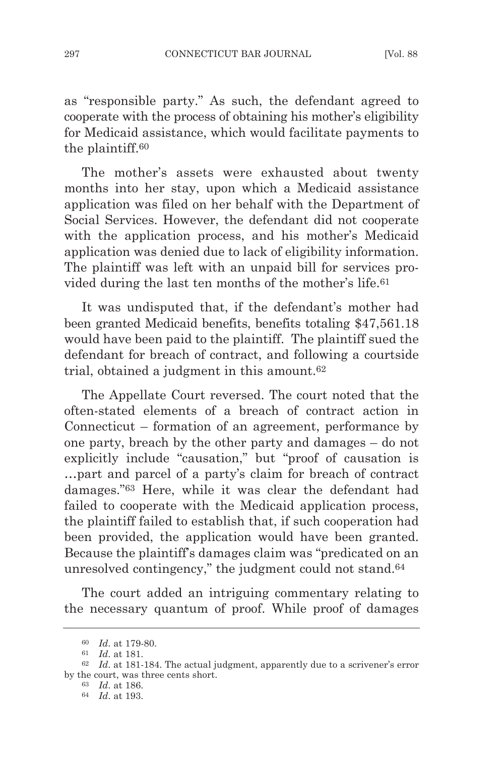as "responsible party." As such, the defendant agreed to cooperate with the process of obtaining his mother's eligibility for Medicaid assistance, which would facilitate payments to the plaintiff.60

The mother's assets were exhausted about twenty months into her stay, upon which a Medicaid assistance application was filed on her behalf with the Department of Social Services. However, the defendant did not cooperate with the application process, and his mother's Medicaid application was denied due to lack of eligibility information. The plaintiff was left with an unpaid bill for services provided during the last ten months of the mother's life.61

It was undisputed that, if the defendant's mother had been granted Medicaid benefits, benefits totaling \$47,561.18 would have been paid to the plaintiff. The plaintiff sued the defendant for breach of contract, and following a courtside trial, obtained a judgment in this amount.62

The Appellate Court reversed. The court noted that the often-stated elements of a breach of contract action in Connecticut – formation of an agreement, performance by one party, breach by the other party and damages – do not explicitly include "causation," but "proof of causation is …part and parcel of a party's claim for breach of contract damages."63 Here, while it was clear the defendant had failed to cooperate with the Medicaid application process, the plaintiff failed to establish that, if such cooperation had been provided, the application would have been granted. because the plaintiff's damages claim was "predicated on an unresolved contingency," the judgment could not stand.64

The court added an intriguing commentary relating to the necessary quantum of proof. while proof of damages

<sup>60</sup> *Id*. at 179-80.

<sup>61</sup> *Id*. at 181.

<sup>62</sup> *Id*. at 181-184. The actual judgment, apparently due to a scrivener's error by the court, was three cents short.

<sup>63</sup> *Id*. at 186.

<sup>64</sup> *Id*. at 193.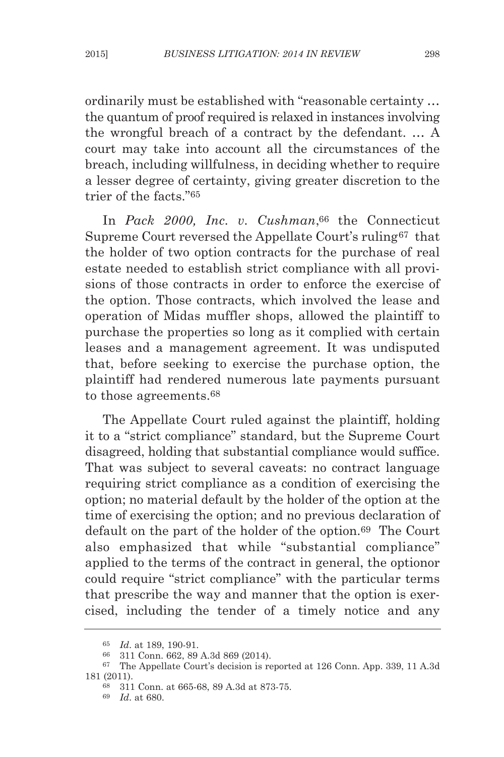ordinarily must be established with "reasonable certainty … the quantum of proof required is relaxed in instances involving the wrongful breach of a contract by the defendant. … A court may take into account all the circumstances of the breach, including willfulness, in deciding whether to require a lesser degree of certainty, giving greater discretion to the trier of the facts."65

in *Pack 2000, Inc. v. Cushman*,66 the Connecticut Supreme Court reversed the Appellate Court's ruling67 that the holder of two option contracts for the purchase of real estate needed to establish strict compliance with all provisions of those contracts in order to enforce the exercise of the option. Those contracts, which involved the lease and operation of Midas muffler shops, allowed the plaintiff to purchase the properties so long as it complied with certain leases and a management agreement. It was undisputed that, before seeking to exercise the purchase option, the plaintiff had rendered numerous late payments pursuant to those agreements.68

The Appellate Court ruled against the plaintiff, holding it to a "strict compliance" standard, but the Supreme Court disagreed, holding that substantial compliance would suffice. That was subject to several caveats: no contract language requiring strict compliance as a condition of exercising the option; no material default by the holder of the option at the time of exercising the option; and no previous declaration of default on the part of the holder of the option.69 The Court also emphasized that while "substantial compliance" applied to the terms of the contract in general, the optionor could require "strict compliance" with the particular terms that prescribe the way and manner that the option is exercised, including the tender of a timely notice and any

<sup>65</sup> *Id*. at 189, 190-91.

<sup>66</sup> 311 Conn. 662, 89 A.3d 869 (2014).

<sup>67</sup> The Appellate Court's decision is reported at 126 Conn. App. 339, 11 A.3d 181 (2011).

<sup>68</sup> 311 Conn. at 665-68, 89 A.3d at 873-75.

<sup>69</sup> *Id*. at 680.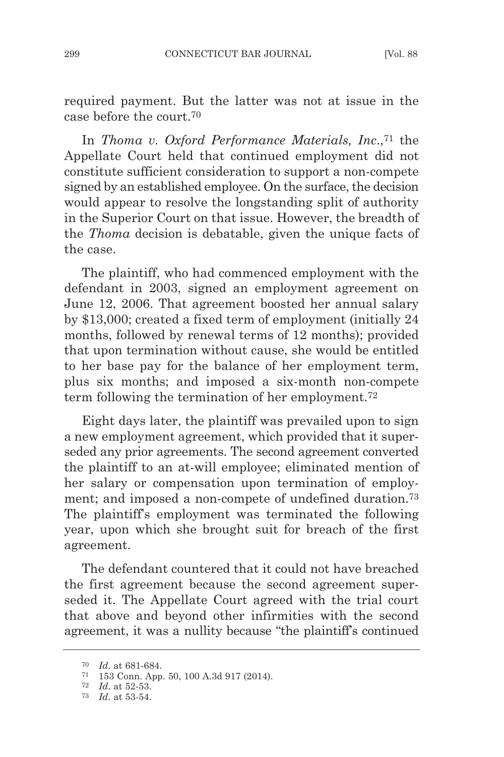required payment. but the latter was not at issue in the case before the court.70

in *thoma v. oxford Performance materials, Inc*.,71 the Appellate Court held that continued employment did not constitute sufficient consideration to support a non-compete signed by an established employee. On the surface, the decision would appear to resolve the longstanding split of authority in the Superior Court on that issue. However, the breadth of the *thoma* decision is debatable, given the unique facts of the case.

The plaintiff, who had commenced employment with the defendant in 2003, signed an employment agreement on June 12, 2006. That agreement boosted her annual salary by \$13,000; created a fixed term of employment (initially 24 months, followed by renewal terms of 12 months); provided that upon termination without cause, she would be entitled to her base pay for the balance of her employment term, plus six months; and imposed a six-month non-compete term following the termination of her employment.72

Eight days later, the plaintiff was prevailed upon to sign a new employment agreement, which provided that it superseded any prior agreements. The second agreement converted the plaintiff to an at-will employee; eliminated mention of her salary or compensation upon termination of employment; and imposed a non-compete of undefined duration.73 The plaintiff's employment was terminated the following year, upon which she brought suit for breach of the first agreement.

The defendant countered that it could not have breached the first agreement because the second agreement superseded it. The Appellate Court agreed with the trial court that above and beyond other infirmities with the second agreement, it was a nullity because "the plaintiff's continued

<sup>70</sup> *Id*. at 681-684.

<sup>71</sup> 153 Conn. App. 50, 100 A.3d 917 (2014).

<sup>72</sup> *Id*. at 52-53.

<sup>73</sup> *Id*. at 53-54.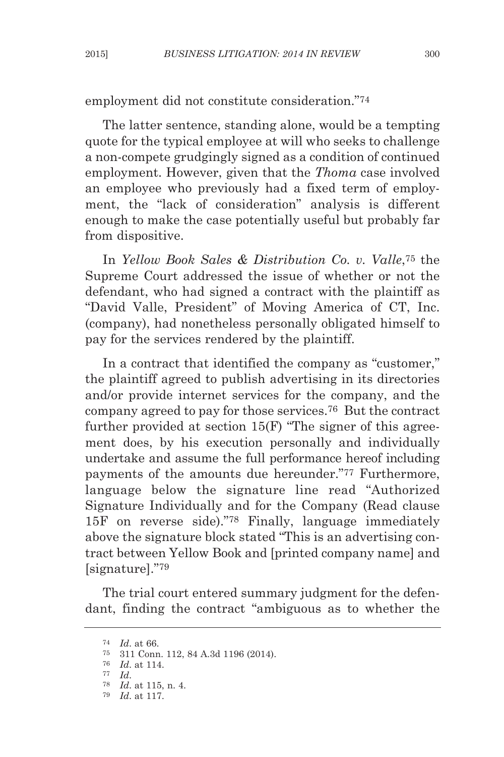employment did not constitute consideration."74

The latter sentence, standing alone, would be a tempting quote for the typical employee at will who seeks to challenge a non-compete grudgingly signed as a condition of continued employment. However, given that the *Thoma* case involved an employee who previously had a fixed term of employment, the "lack of consideration" analysis is different enough to make the case potentially useful but probably far from dispositive.

in *yellow Book Sales & Distribution Co. v. valle*,75 the Supreme Court addressed the issue of whether or not the defendant, who had signed a contract with the plaintiff as "David valle, President" of Moving America of CT, inc. (company), had nonetheless personally obligated himself to pay for the services rendered by the plaintiff.

In a contract that identified the company as "customer," the plaintiff agreed to publish advertising in its directories and/or provide internet services for the company, and the company agreed to pay for those services.<sup>76</sup> But the contract further provided at section  $15(F)$  "The signer of this agreement does, by his execution personally and individually undertake and assume the full performance hereof including payments of the amounts due hereunder."<sup>77</sup> Furthermore, language below the signature line read "Authorized Signature Individually and for the Company (Read clause 15f on reverse side)."78 finally, language immediately above the signature block stated "This is an advertising contract between yellow book and [printed company name] and [signature]."79

The trial court entered summary judgment for the defendant, finding the contract "ambiguous as to whether the

<sup>74</sup> *Id*. at 66.

<sup>75</sup> 311 Conn. 112, 84 A.3d 1196 (2014).

<sup>76</sup> *Id*. at 114.

<sup>77</sup> *Id*.

<sup>78</sup> *Id*. at 115, n. 4.

<sup>79</sup> *Id*. at 117.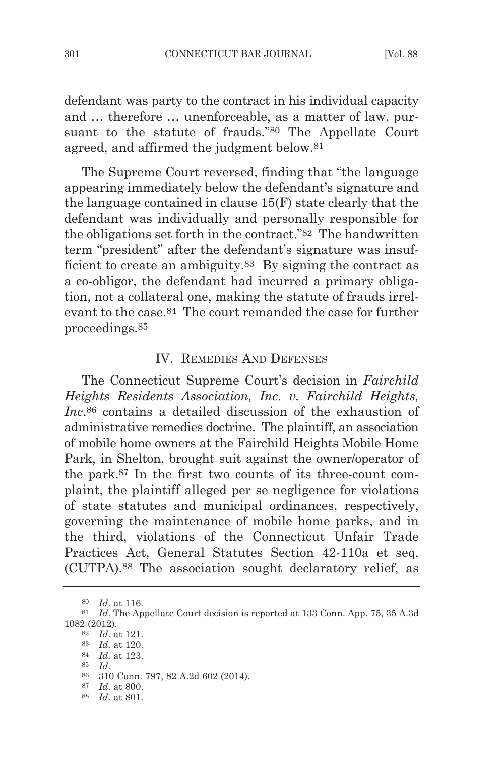defendant was party to the contract in his individual capacity and … therefore … unenforceable, as a matter of law, pursuant to the statute of frauds."80 The Appellate Court agreed, and affirmed the judgment below.81

The Supreme Court reversed, finding that "the language appearing immediately below the defendant's signature and the language contained in clause 15(f) state clearly that the defendant was individually and personally responsible for the obligations set forth in the contract."82 The handwritten term "president" after the defendant's signature was insufficient to create an ambiguity.<sup>83</sup> By signing the contract as a co-obligor, the defendant had incurred a primary obligation, not a collateral one, making the statute of frauds irrelevant to the case.84 The court remanded the case for further proceedings.85

## IV. REMEDIES AND DEFENSES

The Connecticut Supreme Court's decision in *Fairchild Heights Residents Association, Inc. v. Fairchild Heights, Inc*.86 contains a detailed discussion of the exhaustion of administrative remedies doctrine. The plaintiff, an association of mobile home owners at the fairchild Heights Mobile Home Park, in Shelton, brought suit against the owner/operator of the park.87 in the first two counts of its three-count complaint, the plaintiff alleged per se negligence for violations of state statutes and municipal ordinances, respectively, governing the maintenance of mobile home parks, and in the third, violations of the Connecticut Unfair Trade Practices Act, general Statutes Section 42-110a et seq. (CUTPA).88 The association sought declaratory relief, as

85 *Id*.

<sup>87</sup> *Id*. at 800.

<sup>80</sup> *Id*. at 116.

<sup>81</sup> *Id*. The Appellate Court decision is reported at 133 Conn. App. 75, 35 A.3d 1082 (2012).

<sup>82</sup> *Id*. at 121.

<sup>83</sup> *Id*. at 120.

<sup>84</sup> *Id*. at 123.

<sup>86</sup> 310 Conn. 797, 82 A.2d 602 (2014).

<sup>88</sup> *Id*. at 801.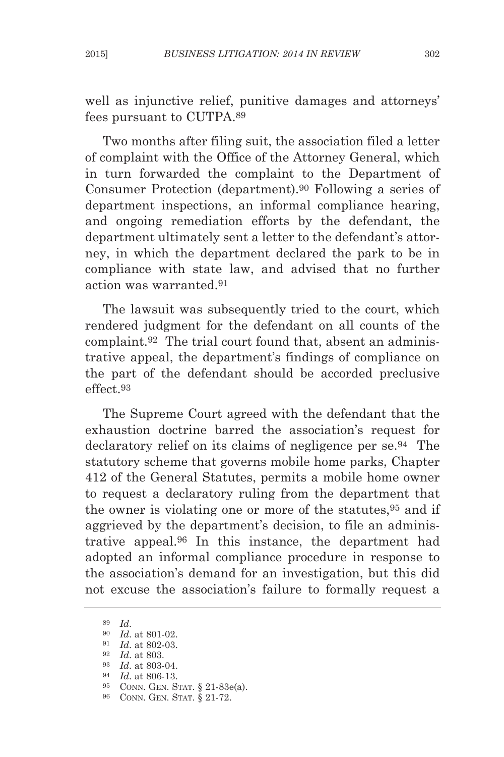well as injunctive relief, punitive damages and attorneys' fees pursuant to CUTPA.89

Two months after filing suit, the association filed a letter of complaint with the Office of the Attorney general, which in turn forwarded the complaint to the Department of Consumer Protection (department).90 following a series of department inspections, an informal compliance hearing, and ongoing remediation efforts by the defendant, the department ultimately sent a letter to the defendant's attorney, in which the department declared the park to be in compliance with state law, and advised that no further action was warranted.91

The lawsuit was subsequently tried to the court, which rendered judgment for the defendant on all counts of the complaint.92 The trial court found that, absent an administrative appeal, the department's findings of compliance on the part of the defendant should be accorded preclusive effect.93

The Supreme Court agreed with the defendant that the exhaustion doctrine barred the association's request for declaratory relief on its claims of negligence per se.94 The statutory scheme that governs mobile home parks, Chapter 412 of the general Statutes, permits a mobile home owner to request a declaratory ruling from the department that the owner is violating one or more of the statutes,95 and if aggrieved by the department's decision, to file an administrative appeal.96 in this instance, the department had adopted an informal compliance procedure in response to the association's demand for an investigation, but this did not excuse the association's failure to formally request a

89 *Id*.

<sup>90</sup> *Id*. at 801-02.

<sup>91</sup> *Id*. at 802-03.

<sup>92</sup> *Id*. at 803.

*Id.* at 803-04.

<sup>94</sup> *Id*. at 806-13.

<sup>95</sup> CONN. GEN. STAT. § 21-83e(a).

<sup>96</sup> CONN. GEN. STAT. § 21-72.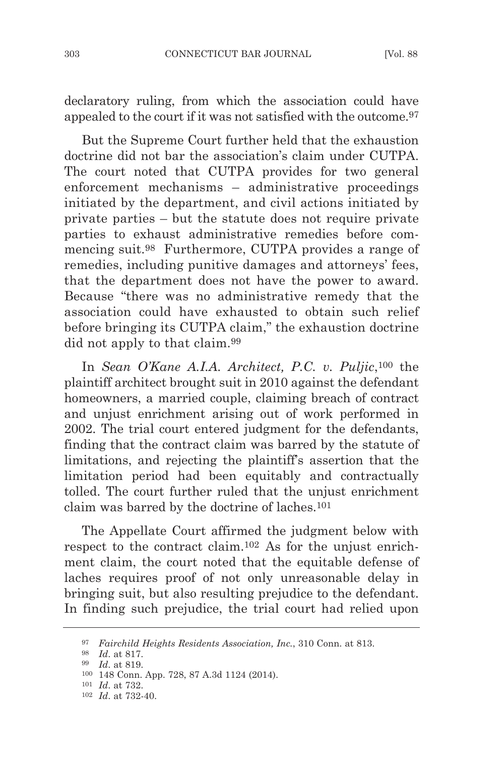declaratory ruling, from which the association could have appealed to the court if it was not satisfied with the outcome.97

but the Supreme Court further held that the exhaustion doctrine did not bar the association's claim under CUTPA. The court noted that CUTPA provides for two general enforcement mechanisms – administrative proceedings initiated by the department, and civil actions initiated by private parties – but the statute does not require private parties to exhaust administrative remedies before commencing suit.98 furthermore, CUTPA provides a range of remedies, including punitive damages and attorneys' fees, that the department does not have the power to award. because "there was no administrative remedy that the association could have exhausted to obtain such relief before bringing its CUTPA claim," the exhaustion doctrine did not apply to that claim.99

in *Sean o'Kane A.I.A. Architect, P.C. v. Puljic*,100 the plaintiff architect brought suit in 2010 against the defendant homeowners, a married couple, claiming breach of contract and unjust enrichment arising out of work performed in 2002. The trial court entered judgment for the defendants, finding that the contract claim was barred by the statute of limitations, and rejecting the plaintiff's assertion that the limitation period had been equitably and contractually tolled. The court further ruled that the unjust enrichment claim was barred by the doctrine of laches.101

The Appellate Court affirmed the judgment below with respect to the contract claim.102 As for the unjust enrichment claim, the court noted that the equitable defense of laches requires proof of not only unreasonable delay in bringing suit, but also resulting prejudice to the defendant. In finding such prejudice, the trial court had relied upon

<sup>97</sup> *Fairchild Heights Residents Association, Inc.*, 310 Conn. at 813.

<sup>98</sup> *Id*. at 817.

<sup>99</sup> *Id*. at 819.

<sup>100</sup> 148 Conn. App. 728, 87 A.3d 1124 (2014).

<sup>101</sup> *Id*. at 732.

<sup>102</sup> *Id*. at 732-40.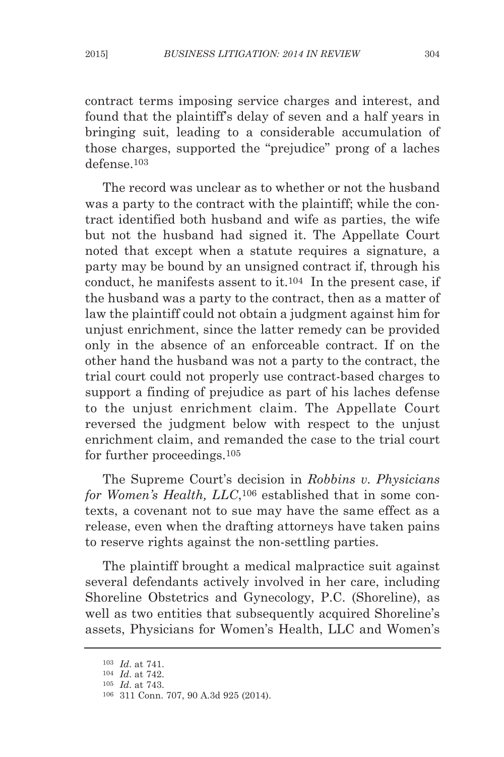contract terms imposing service charges and interest, and found that the plaintiff's delay of seven and a half years in bringing suit, leading to a considerable accumulation of those charges, supported the "prejudice" prong of a laches defense.103

The record was unclear as to whether or not the husband was a party to the contract with the plaintiff; while the contract identified both husband and wife as parties, the wife but not the husband had signed it. The Appellate Court noted that except when a statute requires a signature, a party may be bound by an unsigned contract if, through his conduct, he manifests assent to it. $104$  In the present case, if the husband was a party to the contract, then as a matter of law the plaintiff could not obtain a judgment against him for unjust enrichment, since the latter remedy can be provided only in the absence of an enforceable contract. if on the other hand the husband was not a party to the contract, the trial court could not properly use contract-based charges to support a finding of prejudice as part of his laches defense to the unjust enrichment claim. The Appellate Court reversed the judgment below with respect to the unjust enrichment claim, and remanded the case to the trial court for further proceedings.105

The Supreme Court's decision in *Robbins v. Physicians for Women's Health, llC*,106 established that in some contexts, a covenant not to sue may have the same effect as a release, even when the drafting attorneys have taken pains to reserve rights against the non-settling parties.

The plaintiff brought a medical malpractice suit against several defendants actively involved in her care, including Shoreline Obstetrics and Gynecology, P.C. (Shoreline), as well as two entities that subsequently acquired Shoreline's assets, Physicians for women's Health, llC and women's

<sup>103</sup> *Id*. at 741.

<sup>104</sup> *Id*. at 742.

<sup>105</sup> *Id*. at 743.

<sup>106</sup> 311 Conn. 707, 90 A.3d 925 (2014).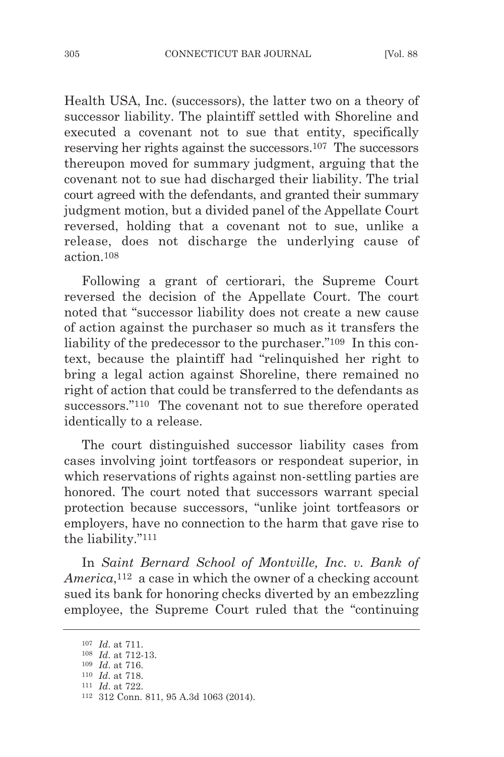Health USA, inc. (successors), the latter two on a theory of successor liability. The plaintiff settled with Shoreline and executed a covenant not to sue that entity, specifically reserving her rights against the successors.107 The successors thereupon moved for summary judgment, arguing that the covenant not to sue had discharged their liability. The trial court agreed with the defendants, and granted their summary judgment motion, but a divided panel of the Appellate Court reversed, holding that a covenant not to sue, unlike a release, does not discharge the underlying cause of action.108

following a grant of certiorari, the Supreme Court reversed the decision of the Appellate Court. The court noted that "successor liability does not create a new cause of action against the purchaser so much as it transfers the liability of the predecessor to the purchaser."<sup>109</sup> In this context, because the plaintiff had "relinquished her right to bring a legal action against Shoreline, there remained no right of action that could be transferred to the defendants as successors."110 The covenant not to sue therefore operated identically to a release.

The court distinguished successor liability cases from cases involving joint tortfeasors or respondeat superior, in which reservations of rights against non-settling parties are honored. The court noted that successors warrant special protection because successors, "unlike joint tortfeasors or employers, have no connection to the harm that gave rise to the liability."111

in *Saint Bernard School of montville, Inc. v. Bank of America*,<sup>112</sup> a case in which the owner of a checking account sued its bank for honoring checks diverted by an embezzling employee, the Supreme Court ruled that the "continuing

<sup>107</sup> *Id*. at 711.

<sup>108</sup> *Id*. at 712-13.

<sup>109</sup> *Id*. at 716. 110 *Id*. at 718.

<sup>111</sup> *Id*. at 722.

<sup>112</sup> 312 Conn. 811, 95 A.3d 1063 (2014).